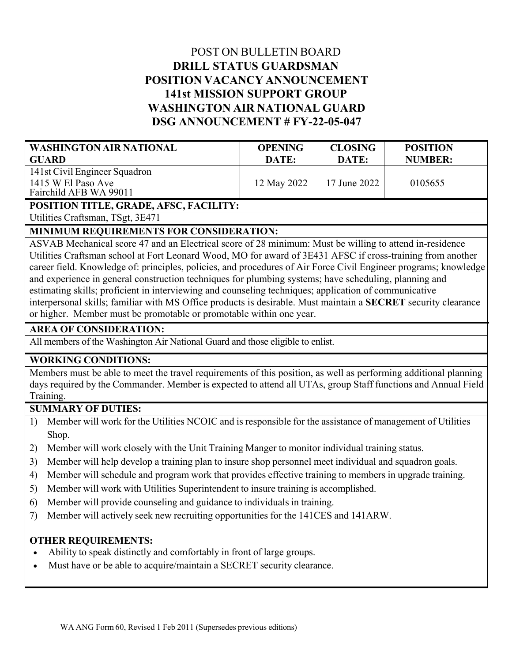# POST ON BULLETIN BOARD **DRILL STATUS GUARDSMAN POSITION VACANCY ANNOUNCEMENT 141st MISSION SUPPORT GROUP WASHINGTON AIR NATIONAL GUARD DSG ANNOUNCEMENT # FY-22-05-047**

| <b>WASHINGTON AIR NATIONAL</b><br><b>GUARD</b> | <b>OPENING</b><br>DATE: | <b>CLOSING</b><br>DATE: | <b>POSITION</b><br><b>NUMBER:</b> |
|------------------------------------------------|-------------------------|-------------------------|-----------------------------------|
| 141st Civil Engineer Squadron                  |                         |                         |                                   |
| 1415 W El Paso Ave<br>Fairchild AFB WA 99011   | 12 May 2022             | 17 June 2022            | 0105655                           |

**POSITION TITLE, GRADE, AFSC, FACILITY:**

Utilities Craftsman, TSgt, 3E471

## **MINIMUM REQUIREMENTS FOR CONSIDERATION:**

ASVAB Mechanical score 47 and an Electrical score of 28 minimum: Must be willing to attend in-residence Utilities Craftsman school at Fort Leonard Wood, MO for award of 3E431 AFSC if cross-training from another career field. Knowledge of: principles, policies, and procedures of Air Force Civil Engineer programs; knowledge and experience in general construction techniques for plumbing systems; have scheduling, planning and estimating skills; proficient in interviewing and counseling techniques; application of communicative interpersonal skills; familiar with MS Office products is desirable. Must maintain a **SECRET** security clearance or higher. Member must be promotable or promotable within one year.

### **AREA OF CONSIDERATION:**

All members of the Washington Air National Guard and those eligible to enlist.

### **WORKING CONDITIONS:**

Members must be able to meet the travel requirements of this position, as well as performing additional planning days required by the Commander. Member is expected to attend all UTAs, group Staff functions and Annual Field Training.

### **SUMMARY OF DUTIES:**

- 1) Member will work for the Utilities NCOIC and is responsible for the assistance of management of Utilities Shop.
- 2) Member will work closely with the Unit Training Manger to monitor individual training status.
- 3) Member will help develop a training plan to insure shop personnel meet individual and squadron goals.
- 4) Member will schedule and program work that provides effective training to members in upgrade training.
- 5) Member will work with Utilities Superintendent to insure training is accomplished.
- 6) Member will provide counseling and guidance to individuals in training.
- 7) Member will actively seek new recruiting opportunities for the 141CES and 141ARW.

### **OTHER REQUIREMENTS:**

- Ability to speak distinctly and comfortably in front of large groups.
- Must have or be able to acquire/maintain a SECRET security clearance.